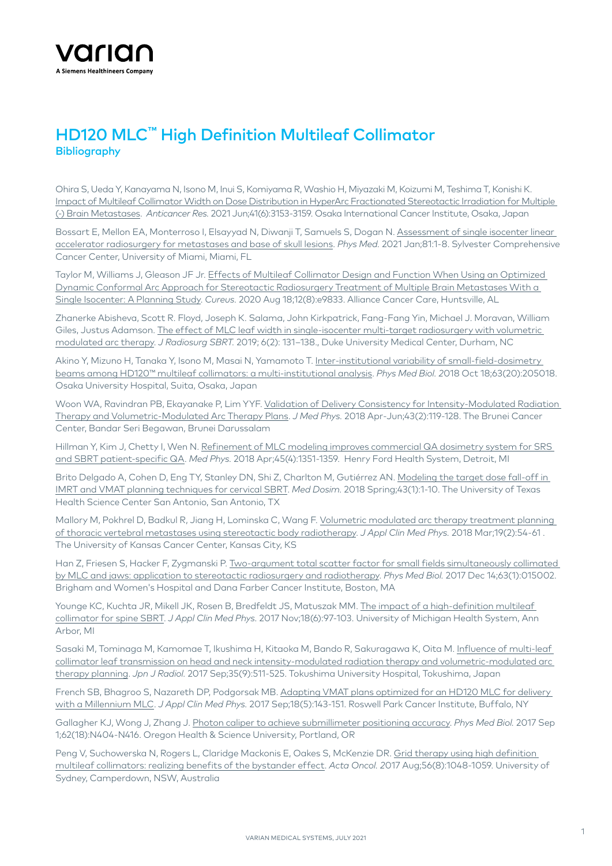

## HD120 MLC™ High Definition Multileaf Collimator **Bibliography**

Ohira S, Ueda Y, Kanayama N, Isono M, Inui S, Komiyama R, Washio H, Miyazaki M, Koizumi M, Teshima T, Konishi K. Impact of Multileaf Collimator Width on Dose Distribution in HyperArc Fractionated Stereotactic Irradiation for Multiple (-) Brain Metastases. *Anticancer Res.* 2021 Jun;41(6):3153-3159. Osaka International Cancer Institute, Osaka, Japan

Bossart E, Mellon EA, Monterroso I, Elsayyad N, Diwanji T, Samuels S, Dogan N. Assessment of single isocenter linear [accelerator radiosurgery for metastases and base of skull lesions.](https://pubmed.ncbi.nlm.nih.gov/33278764/) *Phys Med.* 2021 Jan;81:1-8. Sylvester Comprehensive Cancer Center, University of Miami, Miami, FL

Taylor M, Williams J, Gleason JF Jr. Effects of Multileaf Collimator Design and Function When Using an Optimized [Dynamic Conformal Arc Approach for Stereotactic Radiosurgery Treatment of Multiple Brain Metastases With a](https://pubmed.ncbi.nlm.nih.gov/32832305/)  [Single Isocenter: A Planning Study](https://pubmed.ncbi.nlm.nih.gov/32832305/). *Cureus.* 2020 Aug 18;12(8):e9833. Alliance Cancer Care, Huntsville, AL

Zhanerke Abisheva, Scott R. Floyd, Joseph K. Salama, John Kirkpatrick, Fang-Fang Yin, Michael J. Moravan, William Giles, Justus Adamson. [The effect of MLC leaf width in single-isocenter multi-target radiosurgery with volumetric](https://www.ncbi.nlm.nih.gov/pmc/articles/PMC6774495/)  [modulated arc therapy.](https://www.ncbi.nlm.nih.gov/pmc/articles/PMC6774495/) *J Radiosurg SBRT.* 2019; 6(2): 131–138., Duke University Medical Center, Durham, NC

Akino Y, Mizuno H, Tanaka Y, Isono M, Masai N, Yamamoto T. [Inter-institutional variability of small-field-dosimetry](https://www.ncbi.nlm.nih.gov/pubmed/30255847)  [beams among HD120™ multileaf collimators: a multi-institutional analysis](https://www.ncbi.nlm.nih.gov/pubmed/30255847). *Phys Med Biol. 2*018 Oct 18;63(20):205018. Osaka University Hospital, Suita, Osaka, Japan

Woon WA, Ravindran PB, Ekayanake P, Lim YYF. [Validation of Delivery Consistency for Intensity-Modulated Radiation](https://www.ncbi.nlm.nih.gov/pubmed/29962690)  [Therapy and Volumetric-Modulated Arc Therapy Plans.](https://www.ncbi.nlm.nih.gov/pubmed/29962690) *J Med Phys.* 2018 Apr-Jun;43(2):119-128. The Brunei Cancer Center, Bandar Seri Begawan, Brunei Darussalam

Hillman Y, Kim J, Chetty I, Wen N. [Refinement of MLC modeling improves commercial QA dosimetry system for SRS](https://www.ncbi.nlm.nih.gov/pubmed/29431865)  [and SBRT patient-specific QA.](https://www.ncbi.nlm.nih.gov/pubmed/29431865) *Med Phys.* 2018 Apr;45(4):1351-1359. Henry Ford Health System, Detroit, MI

Brito Delgado A, Cohen D, Eng TY, Stanley DN, Shi Z, Charlton M, Gutiérrez AN. [Modeling the target dose fall-off in](https://www.ncbi.nlm.nih.gov/pubmed/29223302)  [IMRT and VMAT planning techniques for cervical SBRT.](https://www.ncbi.nlm.nih.gov/pubmed/29223302) *Med Dosim.* 2018 Spring;43(1):1-10. The University of Texas Health Science Center San Antonio, San Antonio, TX

Mallory M, Pokhrel D, Badkul R, Jiang H, Lominska C, Wang F. Volumetric modulated arc therapy treatment planning [of thoracic vertebral metastases using stereotactic body radiotherapy](https://www.ncbi.nlm.nih.gov/pubmed/29349867). *J Appl Clin Med Phys.* 2018 Mar;19(2):54-61 . The University of Kansas Cancer Center, Kansas City, KS

Han Z, Friesen S, Hacker F, Zygmanski P. [Two-argument total scatter factor for small fields simultaneously collimated](https://www.ncbi.nlm.nih.gov/pubmed/29106378)  [by MLC and jaws: application to stereotactic radiosurgery and radiotherapy.](https://www.ncbi.nlm.nih.gov/pubmed/29106378) *Phys Med Biol.* 2017 Dec 14;63(1):015002. Brigham and Women's Hospital and Dana Farber Cancer Institute, Boston, MA

Younge KC, Kuchta JR, Mikell JK, Rosen B, Bredfeldt JS, Matuszak MM. [The impact of a high-definition multileaf](https://www.ncbi.nlm.nih.gov/pubmed/28960753)  [collimator for spine SBRT](https://www.ncbi.nlm.nih.gov/pubmed/28960753). *J Appl Clin Med Phys.* 2017 Nov;18(6):97-103. University of Michigan Health System, Ann Arbor, MI

Sasaki M, Tominaga M, Kamomae T, Ikushima H, Kitaoka M, Bando R, Sakuragawa K, Oita M. [Influence of multi-leaf](https://pubmed.ncbi.nlm.nih.gov/28647834/)  [collimator leaf transmission on head and neck intensity-modulated radiation therapy and volumetric-modulated arc](https://pubmed.ncbi.nlm.nih.gov/28647834/)  [therapy planning.](https://pubmed.ncbi.nlm.nih.gov/28647834/) *Jpn J Radiol.* 2017 Sep;35(9):511-525. Tokushima University Hospital, Tokushima, Japan

French SB, Bhagroo S, Nazareth DP, Podgorsak MB. [Adapting VMAT plans optimized for an HD120 MLC for delivery](https://www.ncbi.nlm.nih.gov/pubmed/28727285)  [with a Millennium MLC.](https://www.ncbi.nlm.nih.gov/pubmed/28727285) *J Appl Clin Med Phys.* 2017 Sep;18(5):143-151. Roswell Park Cancer Institute, Buffalo, NY

Gallagher KJ, Wong J, Zhang J. [Photon caliper to achieve submillimeter positioning accuracy.](https://www.ncbi.nlm.nih.gov/pubmed/28783038) *Phys Med Biol.* 2017 Sep 1;62(18):N404-N416. Oregon Health & Science University, Portland, OR

Peng V, Suchowerska N, Rogers L, Claridge Mackonis E, Oakes S, McKenzie DR. [Grid therapy using high definition](https://www.ncbi.nlm.nih.gov/pubmed/28303745)  [multileaf collimators: realizing benefits of the bystander effect.](https://www.ncbi.nlm.nih.gov/pubmed/28303745) *Acta Oncol. 2*017 Aug;56(8):1048-1059. University of Sydney, Camperdown, NSW, Australia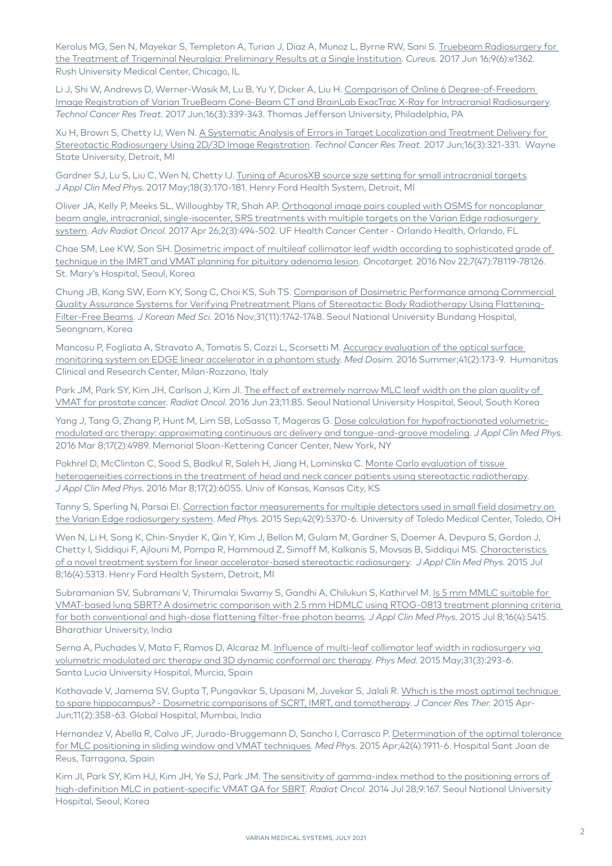Kerolus MG, Sen N, Mayekar S, Templeton A, Turian J, Diaz A, Munoz L, Byrne RW, Sani S. Truebeam Radiosurgery for [the Treatment of Trigeminal Neuralgia: Preliminary Results at a Single Institution](https://www.ncbi.nlm.nih.gov/pubmed/28721330). *Cureus.* 2017 Jun 16;9(6):e1362. Rush University Medical Center, Chicago, IL

Li J, Shi W, Andrews D, Werner-Wasik M, Lu B, Yu Y, Dicker A, Liu H. [Comparison of Online 6 Degree-of-Freedom](https://www.ncbi.nlm.nih.gov/pubmed/28462690)  [Image Registration of Varian TrueBeam Cone-Beam CT and BrainLab ExacTrac X-Ray for Intracranial Radiosurgery.](https://www.ncbi.nlm.nih.gov/pubmed/28462690) *Technol Cancer Res Treat.* 2017 Jun;16(3):339-343. Thomas Jefferson University, Philadelphia, PA

Xu H, Brown S, Chetty IJ, Wen N. [A Systematic Analysis of Errors in Target Localization and Treatment Delivery for](https://www.ncbi.nlm.nih.gov/pubmed/27582369)  [Stereotactic Radiosurgery Using 2D/3D Image Registration](https://www.ncbi.nlm.nih.gov/pubmed/27582369). *Technol Cancer Res Treat.* 2017 Jun;16(3):321-331. Wayne State University, Detroit, MI

Gardner SJ, Lu S, Liu C, Wen N, Chetty IJ. [Tuning of AcurosXB source size setting for small intracranial targets](https://www.ncbi.nlm.nih.gov/pubmed/28470819). *J Appl Clin Med Phys.* 2017 May;18(3):170-181. Henry Ford Health System, Detroit, MI

Oliver JA, Kelly P, Meeks SL, Willoughby TR, Shah AP. [Orthogonal image pairs coupled with OSMS for noncoplanar](https://www.ncbi.nlm.nih.gov/pubmed/29114618)  [beam angle, intracranial, single-isocenter, SRS treatments with multiple targets on the Varian Edge radiosurgery](https://www.ncbi.nlm.nih.gov/pubmed/29114618)  [system.](https://www.ncbi.nlm.nih.gov/pubmed/29114618) *Adv Radiat Oncol.* 2017 Apr 26;2(3):494-502. UF Health Cancer Center - Orlando Health, Orlando, FL

Chae SM, Lee KW, Son SH. [Dosimetric impact of multileaf collimator leaf width according to sophisticated grade of](https://www.ncbi.nlm.nih.gov/pubmed/27806336)  [technique in the IMRT and VMAT planning for pituitary adenoma lesion.](https://www.ncbi.nlm.nih.gov/pubmed/27806336) *Oncotarget.* 2016 Nov 22;7(47):78119-78126. St. Mary's Hospital, Seoul, Korea

Chung JB, Kang SW, Eom KY, Song C, Choi KS, Suh TS. [Comparison of Dosimetric Performance among Commercial](https://www.ncbi.nlm.nih.gov/pubmed/27709851)  [Quality Assurance Systems for Verifying Pretreatment Plans of Stereotactic Body Radiotherapy Using Flattening-](https://www.ncbi.nlm.nih.gov/pubmed/27709851)[Filter-Free Beams.](https://www.ncbi.nlm.nih.gov/pubmed/27709851) *J Korean Med Sci.* 2016 Nov;31(11):1742-1748. Seoul National University Bundang Hospital, Seongnam, Korea

Mancosu P, Fogliata A, Stravato A, Tomatis S, Cozzi L, Scorsetti M. [Accuracy evaluation of the optical surface](https://www.ncbi.nlm.nih.gov/pubmed/26994827)  [monitoring system on EDGE linear accelerator in a phantom study.](https://www.ncbi.nlm.nih.gov/pubmed/26994827) *Med Dosim.* 2016 Summer;41(2):173-9. Humanitas Clinical and Research Center, Milan-Rozzano, Italy

Park JM, Park SY, Kim JH, Carlson J, Kim JI. [The effect of extremely narrow MLC leaf width on the plan quality of](http://www.ncbi.nlm.nih.gov/pubmed/27338929)  [VMAT for prostate cancer](http://www.ncbi.nlm.nih.gov/pubmed/27338929). *Radiat Oncol.* 2016 Jun 23;11:85. Seoul National University Hospital, Seoul, South Korea

Yang J, Tang G, Zhang P, Hunt M, Lim SB, LoSasso T, Mageras G. [Dose calculation for hypofractionated volumetric](http://www.ncbi.nlm.nih.gov/pubmed/27074450)[modulated arc therapy: approximating continuous arc delivery and tongue-and-groove modeling.](http://www.ncbi.nlm.nih.gov/pubmed/27074450) *J Appl Clin Med Phys.*  2016 Mar 8;17(2):4989. Memorial Sloan-Kettering Cancer Center, New York, NY

Pokhrel D, McClinton C, Sood S, Badkul R, Saleh H, Jiang H, Lominska C. [Monte Carlo evaluation of tissue](https://www.ncbi.nlm.nih.gov/pubmed/27074489)  [heterogeneities corrections in the treatment of head and neck cancer patients using stereotactic radiotherapy.](https://www.ncbi.nlm.nih.gov/pubmed/27074489) *J Appl Clin Med Phys.* 2016 Mar 8;17(2):6055. Univ of Kansas, Kansas City, KS

Tanny S, Sperling N, Parsai EI. [Correction factor measurements for multiple detectors used in small field dosimetry on](https://www.ncbi.nlm.nih.gov/pubmed/26328986)  [the Varian Edge radiosurgery system](https://www.ncbi.nlm.nih.gov/pubmed/26328986). *Med Phys.* 2015 Sep;42(9):5370-6. University of Toledo Medical Center, Toledo, OH

Wen N, Li H, Song K, Chin-Snyder K, Qin Y, Kim J, Bellon M, Gulam M, Gardner S, Doemer A, Devpura S, Gordon J, Chetty I, Siddiqui F, Ajlouni M, Pompa R, Hammoud Z, Simoff M, Kalkanis S, Movsas B, Siddiqui MS. [Characteristics](http://www.ncbi.nlm.nih.gov/pubmed/26218998)  [of a novel treatment system for linear accelerator-based stereotactic radiosurgery.](http://www.ncbi.nlm.nih.gov/pubmed/26218998) *J Appl Clin Med Phys.* 2015 Jul 8;16(4):5313. Henry Ford Health System, Detroit, MI

Subramanian SV, Subramani V, Thirumalai Swamy S, Gandhi A, Chilukuri S, Kathirvel M. [Is 5 mm MMLC suitable for](http://www.ncbi.nlm.nih.gov/pubmed/26219006)  [VMAT-based lung SBRT? A dosimetric comparison with 2.5 mm HDMLC using RTOG-0813 treatment planning criteria](http://www.ncbi.nlm.nih.gov/pubmed/26219006)  [for both conventional and high-dose flattening filter-free photon beams.](http://www.ncbi.nlm.nih.gov/pubmed/26219006) *J Appl Clin Med Phys.* 2015 Jul 8;16(4):5415. Bharathiar University, India

Serna A, Puchades V, Mata F, Ramos D, Alcaraz M. [Influence of multi-leaf collimator leaf width in radiosurgery via](http://www.ncbi.nlm.nih.gov/pubmed/25703035)  [volumetric modulated arc therapy and 3D dynamic conformal arc therapy](http://www.ncbi.nlm.nih.gov/pubmed/25703035). *Phys Med.* 2015 May;31(3):293-6. Santa Lucia University Hospital, Murcia, Spain

Kothavade V, Jamema SV, Gupta T, Pungavkar S, Upasani M, Juvekar S, Jalali R. Which is the most optimal technique [to spare hippocampus? - Dosimetric comparisons of SCRT, IMRT, and tomotherapy.](http://www.ncbi.nlm.nih.gov/pubmed/26148600) *J Cancer Res Ther.* 2015 Apr-Jun;11(2):358-63. Global Hospital, Mumbai, India

Hernandez V, Abella R, Calvo JF, Jurado-Bruggemann D, Sancho I, Carrasco P. [Determination of the optimal tolerance](http://www.ncbi.nlm.nih.gov/pubmed/25832081)  [for MLC positioning in sliding window and VMAT techniques](http://www.ncbi.nlm.nih.gov/pubmed/25832081). *Med Phys.* 2015 Apr;42(4):1911-6. Hospital Sant Joan de Reus, Tarragona, Spain

Kim JI, Park SY, Kim HJ, Kim JH, Ye SJ, Park JM. [The sensitivity of gamma-index method to the positioning errors of](http://www.ncbi.nlm.nih.gov/pubmed/25070065)  [high-definition MLC in patient-specific VMAT QA for SBRT](http://www.ncbi.nlm.nih.gov/pubmed/25070065). *Radiat Oncol.* 2014 Jul 28;9:167. Seoul National University Hospital, Seoul, Korea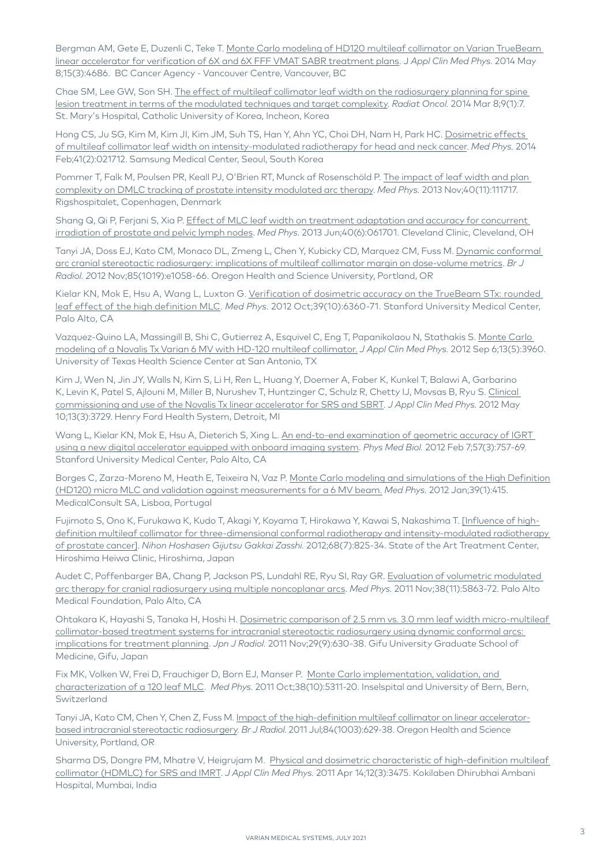Bergman AM, Gete E, Duzenli C, Teke T. [Monte Carlo modeling of HD120 multileaf collimator on Varian TrueBeam](http://www.ncbi.nlm.nih.gov/pubmed/24892341)  [linear accelerator for verification of 6X and 6X FFF VMAT SABR treatment plans](http://www.ncbi.nlm.nih.gov/pubmed/24892341). J *Appl Clin Med Phys.* 2014 May 8;15(3):4686. BC Cancer Agency - Vancouver Centre, Vancouver, BC

Chae SM, Lee GW, Son SH. [The effect of multileaf collimator leaf width on the radiosurgery planning for spine](http://www.ncbi.nlm.nih.gov/pubmed/24606890)  [lesion treatment in terms of the modulated techniques and target complexity](http://www.ncbi.nlm.nih.gov/pubmed/24606890). *Radiat Oncol.* 2014 Mar 8;9(1):7. St. Mary's Hospital, Catholic University of Korea, Incheon, Korea

Hong CS, Ju SG, Kim M, Kim Jl, Kim JM, Suh TS, Han Y, Ahn YC, Choi DH, Nam H, Park HC. Dosimetric effects [of multileaf collimator leaf width on intensity-modulated radiotherapy for head and neck cancer](https://www.ncbi.nlm.nih.gov/pubmed/24506603). *Med Phys.* 2014 Feb;41(2):021712. Samsung Medical Center, Seoul, South Korea

Pommer T, Falk M, Poulsen PR, Keall PJ, O'Brien RT, Munck af Rosenschöld P. [The impact of leaf width and plan](http://www.ncbi.nlm.nih.gov/pubmed/24320425)  [complexity on DMLC tracking of prostate intensity modulated arc therapy.](http://www.ncbi.nlm.nih.gov/pubmed/24320425) *Med Phys.* 2013 Nov;40(11):111717. Rigshospitalet, Copenhagen, Denmark

Shang Q, Qi P, Ferjani S, Xia P. [Effect of MLC leaf width on treatment adaptation and accuracy for concurrent](https://www.ncbi.nlm.nih.gov/pubmed/23718580)  [irradiation of prostate and pelvic lymph nodes](https://www.ncbi.nlm.nih.gov/pubmed/23718580). *Med Phys.* 2013 Jun;40(6):061701. Cleveland Clinic, Cleveland, OH

Tanyi JA, Doss EJ, Kato CM, Monaco DL, Zmeng L, Chen Y, Kubicky CD, Marquez CM, Fuss M. Dynamic conformal [arc cranial stereotactic radiosurgery: implications of multileaf collimator margin on dose-volume metrics.](http://www.ncbi.nlm.nih.gov/pubmed/23091293) *Br J Radiol. 2*012 Nov;85(1019):e1058-66. Oregon Health and Science University, Portland, OR

Kielar KN, Mok E, Hsu A, Wang L, Luxton G. [Verification of dosimetric accuracy on the TrueBeam STx: rounded](http://www.ncbi.nlm.nih.gov/pubmed/23039672)  [leaf effect of the high definition MLC](http://www.ncbi.nlm.nih.gov/pubmed/23039672). *Med Phys.* 2012 Oct;39(10):6360-71. Stanford University Medical Center, Palo Alto, CA

Vazquez-Quino LA, Massingill B, Shi C, Gutierrez A, Esquivel C, Eng T, Papanikolaou N, Stathakis S. [Monte Carlo](http://www.ncbi.nlm.nih.gov/pubmed/22955663)  [modeling of a Novalis Tx Varian 6 MV with HD-120 multileaf collimator.](http://www.ncbi.nlm.nih.gov/pubmed/22955663) *J Appl Clin Med Phys.* 2012 Sep 6;13(5):3960. University of Texas Health Science Center at San Antonio, TX

Kim J, Wen N, Jin JY, Walls N, Kim S, Li H, Ren L, Huang Y, Doemer A, Faber K, Kunkel T, Balawi A, Garbarino K, Levin K, Patel S, Ajlouni M, Miller B, Nurushev T, Huntzinger C, Schulz R, Chetty IJ, Movsas B, Ryu S. [Clinical](http://www.ncbi.nlm.nih.gov/pubmed/22584170)  [commissioning and use of the Novalis Tx linear accelerator for SRS and SBRT](http://www.ncbi.nlm.nih.gov/pubmed/22584170). *J Appl Clin Med Phys.* 2012 May 10;13(3):3729. Henry Ford Health System, Detroit, MI

Wang L, Kielar KN, Mok E, Hsu A, Dieterich S, Xing L. [An end-to-end examination of geometric accuracy of IGRT](http://www.ncbi.nlm.nih.gov/pubmed/22252134)  [using a new digital accelerator equipped with onboard imaging system](http://www.ncbi.nlm.nih.gov/pubmed/22252134). *Phys Med Biol.* 2012 Feb 7;57(3):757-69. Stanford University Medical Center, Palo Alto, CA

Borges C, Zarza-Moreno M, Heath E, Teixeira N, Vaz P. [Monte Carlo modeling and simulations of the High Definition](http://www.ncbi.nlm.nih.gov/pubmed/22225311)  [\(HD120\) micro MLC and validation against measurements for a 6 MV beam.](http://www.ncbi.nlm.nih.gov/pubmed/22225311) *Med Phys.* 2012 Jan;39(1):415. MedicalConsult SA, Lisboa, Portugal

Fujimoto S, Ono K, Furukawa K, Kudo T, Akagi Y, Koyama T, Hirokawa Y, Kawai S, Nakashima T. [\[Influence of high](http://www.ncbi.nlm.nih.gov/pubmed/22821155)[definition multileaf collimator for three-dimensional conformal radiotherapy and intensity-modulated radiotherapy](http://www.ncbi.nlm.nih.gov/pubmed/22821155)  [of prostate cancer\].](http://www.ncbi.nlm.nih.gov/pubmed/22821155) *Nihon Hoshasen Gijutsu Gakkai Zasshi.* 2012;68(7):825-34. State of the Art Treatment Center, Hiroshima Heiwa Clinic, Hiroshima, Japan

Audet C, Poffenbarger BA, Chang P, Jackson PS, Lundahl RE, Ryu SI, Ray GR. [Evaluation of volumetric modulated](https://pubmed.ncbi.nlm.nih.gov/22047350/)  [arc therapy for cranial radiosurgery using multiple noncoplanar arcs.](https://pubmed.ncbi.nlm.nih.gov/22047350/) *Med Phys.* 2011 Nov;38(11):5863-72. Palo Alto Medical Foundation, Palo Alto, CA

Ohtakara K, Hayashi S, Tanaka H, Hoshi H. [Dosimetric comparison of 2.5 mm vs. 3.0 mm leaf width micro-multileaf](http://www.ncbi.nlm.nih.gov/pubmed/21956368)  [collimator-based treatment systems for intracranial stereotactic radiosurgery using dynamic conformal arcs:](http://www.ncbi.nlm.nih.gov/pubmed/21956368)  [implications for treatment planning](http://www.ncbi.nlm.nih.gov/pubmed/21956368). *Jpn J Radiol.* 2011 Nov;29(9):630-38. Gifu University Graduate School of Medicine, Gifu, Japan

Fix MK, Volken W, Frei D, Frauchiger D, Born EJ, Manser P. Monte Carlo implementation, validation, and [characterization of a 120 leaf MLC](http://www.ncbi.nlm.nih.gov/pubmed/21992349). *Med Phys.* 2011 Oct;38(10):5311-20. Inselspital and University of Bern, Bern, Switzerland

Tanyi JA, Kato CM, Chen Y, Chen Z, Fuss M. [Impact of the high-definition multileaf collimator on linear accelerator](http://www.ncbi.nlm.nih.gov/pubmed/20923911)[based intracranial stereotactic radiosurgery.](http://www.ncbi.nlm.nih.gov/pubmed/20923911) *Br J Radiol.* 2011 Jul;84(1003):629-38. Oregon Health and Science University, Portland, OR

Sharma DS, Dongre PM, Mhatre V, Heigrujam M. [Physical and dosimetric characteristic of high-definition multileaf](http://www.ncbi.nlm.nih.gov/pubmed/21844860)  [collimator \(HDMLC\) for SRS and IMRT.](http://www.ncbi.nlm.nih.gov/pubmed/21844860) *J Appl Clin Med Phys.* 2011 Apr 14;12(3):3475. Kokilaben Dhirubhai Ambani Hospital, Mumbai, India